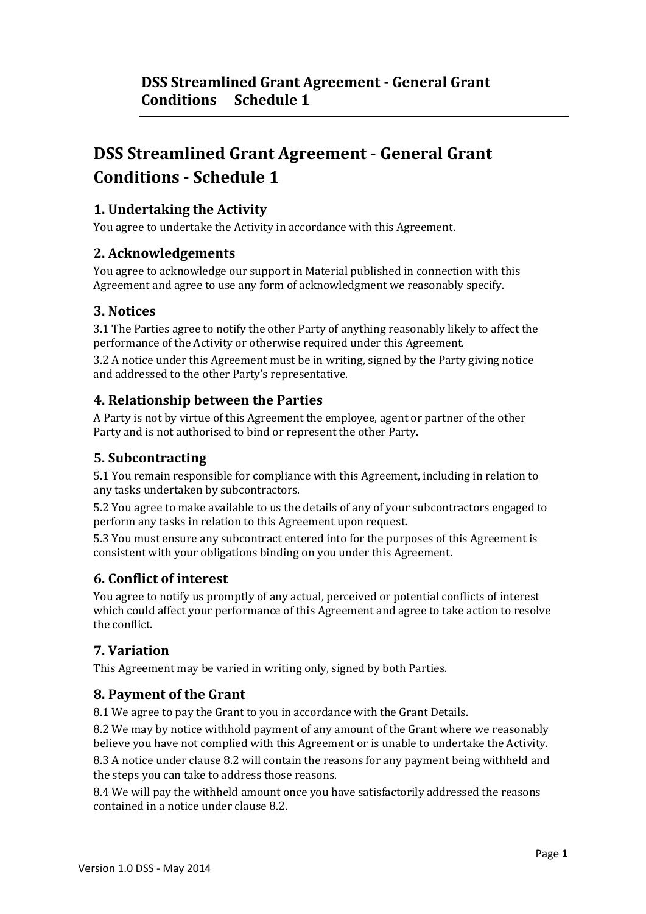## **1. Undertaking the Activity**

You agree to undertake the Activity in accordance with this Agreement.

## **2. Acknowledgements**

You agree to acknowledge our support in Material published in connection with this Agreement and agree to use any form of acknowledgment we reasonably specify.

## **3. Notices**

3.1 The Parties agree to notify the other Party of anything reasonably likely to affect the performance of the Activity or otherwise required under this Agreement.

3.2 A notice under this Agreement must be in writing, signed by the Party giving notice and addressed to the other Party's representative.

## **4. Relationship between the Parties**

A Party is not by virtue of this Agreement the employee, agent or partner of the other Party and is not authorised to bind or represent the other Party.

#### **5. Subcontracting**

5.1 You remain responsible for compliance with this Agreement, including in relation to any tasks undertaken by subcontractors.

5.2 You agree to make available to us the details of any of your subcontractors engaged to perform any tasks in relation to this Agreement upon request.

5.3 You must ensure any subcontract entered into for the purposes of this Agreement is consistent with your obligations binding on you under this Agreement.

## **6. Conflict of interest**

You agree to notify us promptly of any actual, perceived or potential conflicts of interest which could affect your performance of this Agreement and agree to take action to resolve the conflict.

# **7. Variation**

This Agreement may be varied in writing only, signed by both Parties.

## **8. Payment of the Grant**

8.1 We agree to pay the Grant to you in accordance with the Grant Details.

8.2 We may by notice withhold payment of any amount of the Grant where we reasonably believe you have not complied with this Agreement or is unable to undertake the Activity.

8.3 A notice under clause 8.2 will contain the reasons for any payment being withheld and the steps you can take to address those reasons.

8.4 We will pay the withheld amount once you have satisfactorily addressed the reasons contained in a notice under clause 8.2.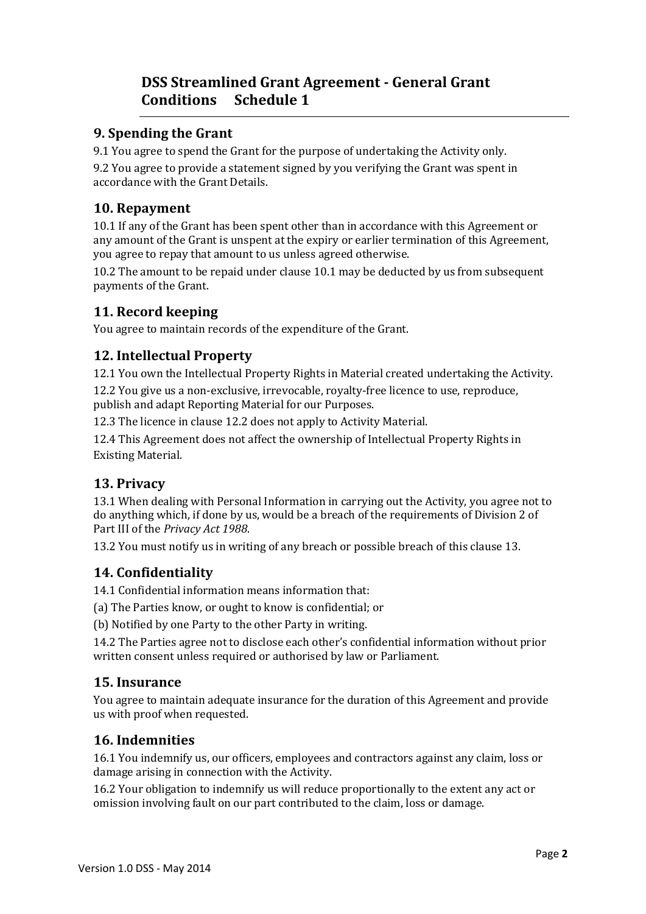#### **9. Spending the Grant**

9.1 You agree to spend the Grant for the purpose of undertaking the Activity only.

9.2 You agree to provide a statement signed by you verifying the Grant was spent in accordance with the Grant Details.

#### **10. Repayment**

10.1 If any of the Grant has been spent other than in accordance with this Agreement or any amount of the Grant is unspent at the expiry or earlier termination of this Agreement, you agree to repay that amount to us unless agreed otherwise.

10.2 The amount to be repaid under clause 10.1 may be deducted by us from subsequent payments of the Grant.

# **11. Record keeping**

You agree to maintain records of the expenditure of the Grant.

## **12. Intellectual Property**

12.1 You own the Intellectual Property Rights in Material created undertaking the Activity.

12.2 You give us a non-exclusive, irrevocable, royalty-free licence to use, reproduce, publish and adapt Reporting Material for our Purposes.

12.3 The licence in clause 12.2 does not apply to Activity Material.

12.4 This Agreement does not affect the ownership of Intellectual Property Rights in Existing Material.

## **13. Privacy**

13.1 When dealing with Personal Information in carrying out the Activity, you agree not to do anything which, if done by us, would be a breach of the requirements of Division 2 of Part III of the *Privacy Act 1988*.

13.2 You must notify us in writing of any breach or possible breach of this clause 13.

## **14. Confidentiality**

14.1 Confidential information means information that:

(a) The Parties know, or ought to know is confidential; or

(b) Notified by one Party to the other Party in writing.

14.2 The Parties agree not to disclose each other's confidential information without prior written consent unless required or authorised by law or Parliament.

## **15. Insurance**

You agree to maintain adequate insurance for the duration of this Agreement and provide us with proof when requested.

## **16. Indemnities**

16.1 You indemnify us, our officers, employees and contractors against any claim, loss or damage arising in connection with the Activity.

16.2 Your obligation to indemnify us will reduce proportionally to the extent any act or omission involving fault on our part contributed to the claim, loss or damage.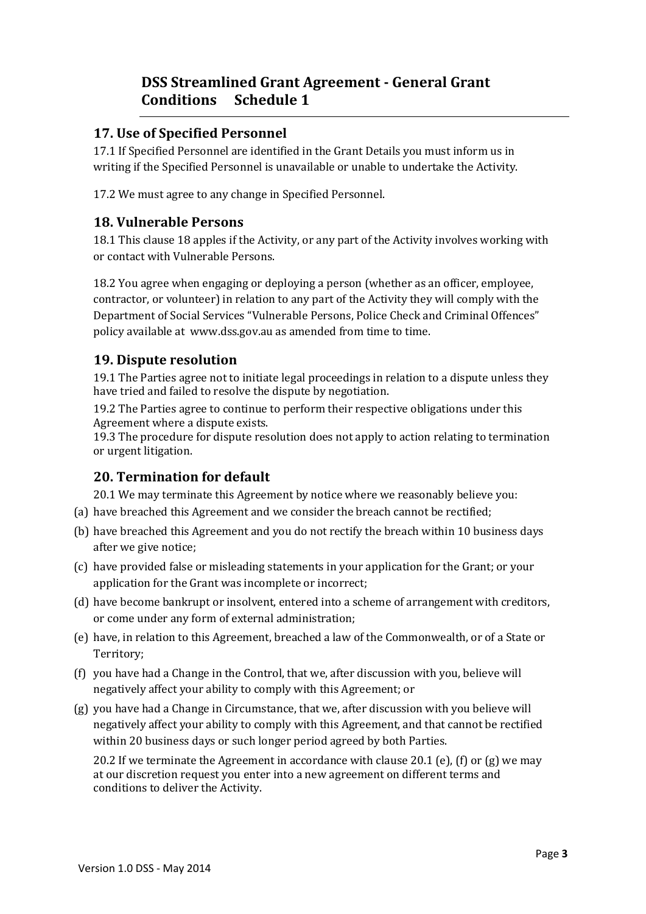#### **17. Use of Specified Personnel**

17.1 If Specified Personnel are identified in the Grant Details you must inform us in writing if the Specified Personnel is unavailable or unable to undertake the Activity.

17.2 We must agree to any change in Specified Personnel.

#### **18. Vulnerable Persons**

18.1 This clause 18 apples if the Activity, or any part of the Activity involves working with or contact with Vulnerable Persons.

18.2 You agree when engaging or deploying a person (whether as an officer, employee, contractor, or volunteer) in relation to any part of the Activity they will comply with the Department of Social Services "Vulnerable Persons, Police Check and Criminal Offences" policy available at www.dss.gov.au as amended from time to time.

#### **19. Dispute resolution**

19.1 The Parties agree not to initiate legal proceedings in relation to a dispute unless they have tried and failed to resolve the dispute by negotiation.

19.2 The Parties agree to continue to perform their respective obligations under this Agreement where a dispute exists.

19.3 The procedure for dispute resolution does not apply to action relating to termination or urgent litigation.

#### **20. Termination for default**

20.1 We may terminate this Agreement by notice where we reasonably believe you:

- (a) have breached this Agreement and we consider the breach cannot be rectified;
- (b) have breached this Agreement and you do not rectify the breach within 10 business days after we give notice;
- (c) have provided false or misleading statements in your application for the Grant; or your application for the Grant was incomplete or incorrect;
- (d) have become bankrupt or insolvent, entered into a scheme of arrangement with creditors, or come under any form of external administration;
- (e) have, in relation to this Agreement, breached a law of the Commonwealth, or of a State or Territory;
- (f) you have had a Change in the Control, that we, after discussion with you, believe will negatively affect your ability to comply with this Agreement; or
- (g) you have had a Change in Circumstance, that we, after discussion with you believe will negatively affect your ability to comply with this Agreement, and that cannot be rectified within 20 business days or such longer period agreed by both Parties.

20.2 If we terminate the Agreement in accordance with clause 20.1 (e), (f) or (g) we may at our discretion request you enter into a new agreement on different terms and conditions to deliver the Activity.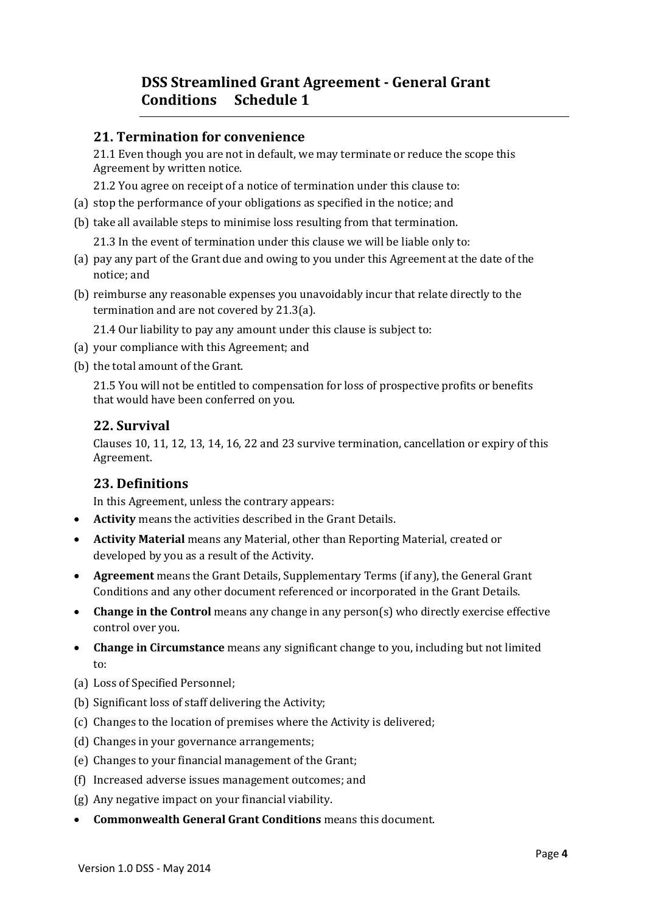#### **21. Termination for convenience**

21.1 Even though you are not in default, we may terminate or reduce the scope this Agreement by written notice.

21.2 You agree on receipt of a notice of termination under this clause to:

- (a) stop the performance of your obligations as specified in the notice; and
- (b) take all available steps to minimise loss resulting from that termination.

21.3 In the event of termination under this clause we will be liable only to:

- (a) pay any part of the Grant due and owing to you under this Agreement at the date of the notice; and
- (b) reimburse any reasonable expenses you unavoidably incur that relate directly to the termination and are not covered by 21.3(a).

21.4 Our liability to pay any amount under this clause is subject to:

- (a) your compliance with this Agreement; and
- (b) the total amount of the Grant.

21.5 You will not be entitled to compensation for loss of prospective profits or benefits that would have been conferred on you.

#### **22. Survival**

Clauses 10, 11, 12, 13, 14, 16, 22 and 23 survive termination, cancellation or expiry of this Agreement.

## **23. Definitions**

In this Agreement, unless the contrary appears:

- **Activity** means the activities described in the Grant Details.
- **Activity Material** means any Material, other than Reporting Material, created or developed by you as a result of the Activity.
- **Agreement** means the Grant Details, Supplementary Terms (if any), the General Grant Conditions and any other document referenced or incorporated in the Grant Details.
- **Change in the Control** means any change in any person(s) who directly exercise effective control over you.
- **Change in Circumstance** means any significant change to you, including but not limited to:
- (a) Loss of Specified Personnel;
- (b) Significant loss of staff delivering the Activity;
- (c) Changes to the location of premises where the Activity is delivered;
- (d) Changes in your governance arrangements;
- (e) Changes to your financial management of the Grant;
- (f) Increased adverse issues management outcomes; and
- (g) Any negative impact on your financial viability.
- **Commonwealth General Grant Conditions** means this document.